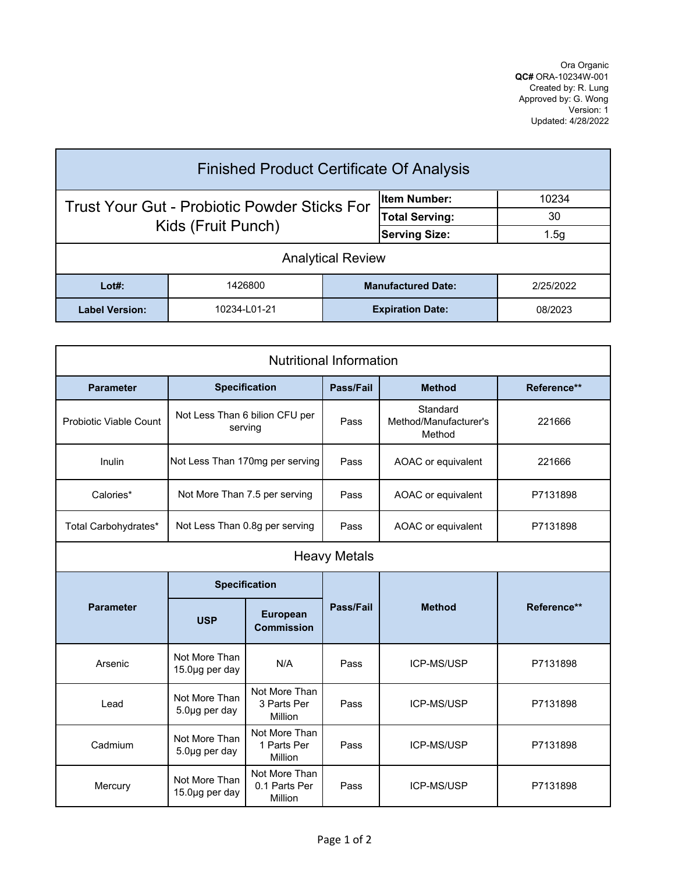Ora Organic **QC#** ORA-10234W-001 Created by: R. Lung Approved by: G. Wong Version: 1 Updated: 4/28/2022

| <b>Finished Product Certificate Of Analysis</b>     |              |                       |                           |           |  |  |
|-----------------------------------------------------|--------------|-----------------------|---------------------------|-----------|--|--|
| <b>Trust Your Gut - Probiotic Powder Sticks For</b> |              |                       | lltem Number:             | 10234     |  |  |
| Kids (Fruit Punch)                                  |              | <b>Total Serving:</b> | 30                        |           |  |  |
|                                                     |              | <b>Serving Size:</b>  | 1.5g                      |           |  |  |
| <b>Analytical Review</b>                            |              |                       |                           |           |  |  |
| $Lot#$ :                                            | 1426800      |                       | <b>Manufactured Date:</b> | 2/25/2022 |  |  |
| <b>Label Version:</b>                               | 10234-L01-21 |                       | <b>Expiration Date:</b>   | 08/2023   |  |  |

| <b>Nutritional Information</b> |                                           |                                           |           |                                             |             |  |  |
|--------------------------------|-------------------------------------------|-------------------------------------------|-----------|---------------------------------------------|-------------|--|--|
| <b>Parameter</b>               |                                           | <b>Specification</b>                      | Pass/Fail | <b>Method</b>                               | Reference** |  |  |
| <b>Probiotic Viable Count</b>  | Not Less Than 6 bilion CFU per<br>serving |                                           | Pass      | Standard<br>Method/Manufacturer's<br>Method | 221666      |  |  |
| Inulin                         | Not Less Than 170mg per serving           |                                           | Pass      | AOAC or equivalent                          | 221666      |  |  |
| Calories*                      | Not More Than 7.5 per serving             |                                           | Pass      | AOAC or equivalent                          | P7131898    |  |  |
| Total Carbohydrates*           | Not Less Than 0.8g per serving            |                                           | Pass      | AOAC or equivalent                          | P7131898    |  |  |
| <b>Heavy Metals</b>            |                                           |                                           |           |                                             |             |  |  |
| <b>Parameter</b>               | <b>Specification</b>                      |                                           |           |                                             |             |  |  |
|                                | <b>USP</b>                                | <b>European</b><br><b>Commission</b>      | Pass/Fail | <b>Method</b>                               | Reference** |  |  |
| Arsenic                        | Not More Than<br>15.0µg per day           | N/A                                       | Pass      | <b>ICP-MS/USP</b>                           | P7131898    |  |  |
| Lead                           | Not More Than<br>5.0µg per day            | Not More Than<br>3 Parts Per<br>Million   | Pass      | ICP-MS/USP                                  | P7131898    |  |  |
| Cadmium                        | Not More Than<br>5.0µg per day            | Not More Than<br>1 Parts Per<br>Million   | Pass      | ICP-MS/USP                                  | P7131898    |  |  |
| Mercury                        | Not More Than<br>$15.0\mu$ g per day      | Not More Than<br>0.1 Parts Per<br>Million | Pass      | <b>ICP-MS/USP</b>                           | P7131898    |  |  |